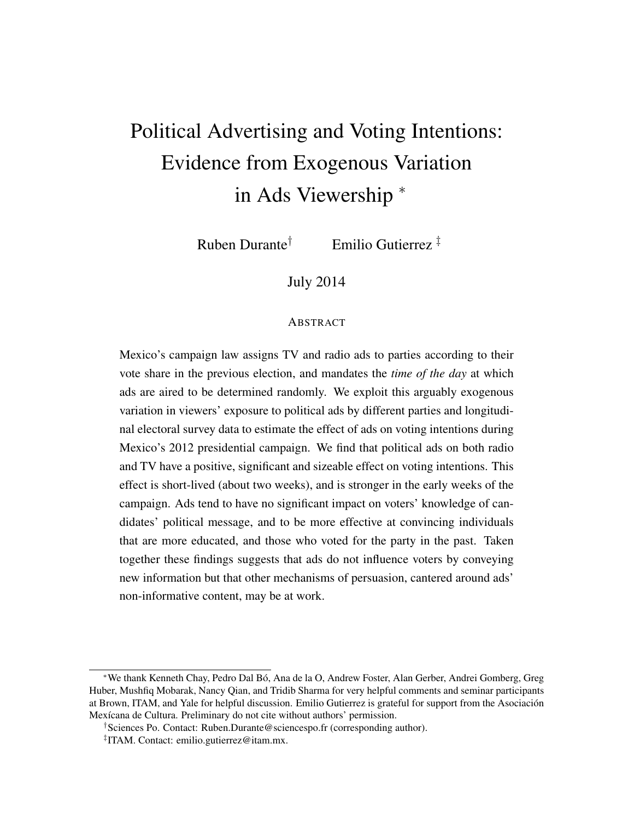# <span id="page-0-0"></span>Political Advertising and Voting Intentions: Evidence from Exogenous Variation in Ads Viewership <sup>∗</sup>

Ruben Durante† Emilio Gutierrez ‡

July 2014

#### ABSTRACT

Mexico's campaign law assigns TV and radio ads to parties according to their vote share in the previous election, and mandates the *time of the day* at which ads are aired to be determined randomly. We exploit this arguably exogenous variation in viewers' exposure to political ads by different parties and longitudinal electoral survey data to estimate the effect of ads on voting intentions during Mexico's 2012 presidential campaign. We find that political ads on both radio and TV have a positive, significant and sizeable effect on voting intentions. This effect is short-lived (about two weeks), and is stronger in the early weeks of the campaign. Ads tend to have no significant impact on voters' knowledge of candidates' political message, and to be more effective at convincing individuals that are more educated, and those who voted for the party in the past. Taken together these findings suggests that ads do not influence voters by conveying new information but that other mechanisms of persuasion, cantered around ads' non-informative content, may be at work.

<sup>∗</sup>We thank Kenneth Chay, Pedro Dal Bó, Ana de la O, Andrew Foster, Alan Gerber, Andrei Gomberg, Greg Huber, Mushfiq Mobarak, Nancy Qian, and Tridib Sharma for very helpful comments and seminar participants at Brown, ITAM, and Yale for helpful discussion. Emilio Gutierrez is grateful for support from the Asociación Mexícana de Cultura. Preliminary do not cite without authors' permission.

<sup>†</sup>Sciences Po. Contact: Ruben.Durante@sciencespo.fr (corresponding author).

<sup>‡</sup> ITAM. Contact: emilio.gutierrez@itam.mx.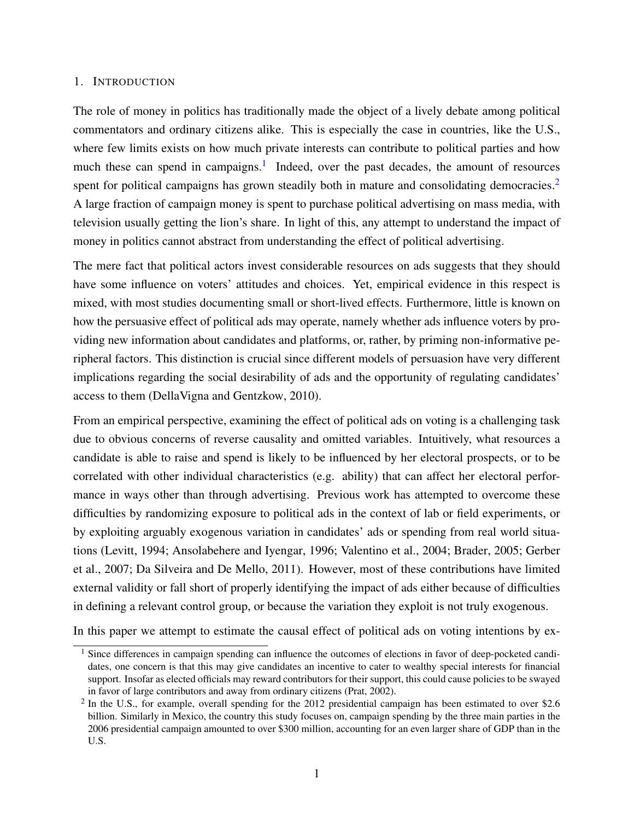#### 1. INTRODUCTION

The role of money in politics has traditionally made the object of a lively debate among political commentators and ordinary citizens alike. This is especially the case in countries, like the U.S., where few limits exists on how much private interests can contribute to political parties and how much these can spend in campaigns.<sup>[1](#page-0-0)</sup> Indeed, over the past decades, the amount of resources spent for political campaigns has grown steadily both in mature and consolidating democracies.<sup>[2](#page-0-0)</sup> A large fraction of campaign money is spent to purchase political advertising on mass media, with television usually getting the lion's share. In light of this, any attempt to understand the impact of money in politics cannot abstract from understanding the effect of political advertising.

The mere fact that political actors invest considerable resources on ads suggests that they should have some influence on voters' attitudes and choices. Yet, empirical evidence in this respect is mixed, with most studies documenting small or short-lived effects. Furthermore, little is known on how the persuasive effect of political ads may operate, namely whether ads influence voters by providing new information about candidates and platforms, or, rather, by priming non-informative peripheral factors. This distinction is crucial since different models of persuasion have very different implications regarding the social desirability of ads and the opportunity of regulating candidates' access to them [\(DellaVigna and Gentzkow,](#page-22-0) [2010\)](#page-22-0).

From an empirical perspective, examining the effect of political ads on voting is a challenging task due to obvious concerns of reverse causality and omitted variables. Intuitively, what resources a candidate is able to raise and spend is likely to be influenced by her electoral prospects, or to be correlated with other individual characteristics (e.g. ability) that can affect her electoral performance in ways other than through advertising. Previous work has attempted to overcome these difficulties by randomizing exposure to political ads in the context of lab or field experiments, or by exploiting arguably exogenous variation in candidates' ads or spending from real world situations [\(Levitt,](#page-22-1) [1994;](#page-22-1) [Ansolabehere and Iyengar,](#page-22-2) [1996;](#page-22-2) [Valentino et al.,](#page-23-0) [2004;](#page-23-0) [Brader,](#page-22-3) [2005;](#page-22-3) [Gerber](#page-22-4) [et al.,](#page-22-4) [2007;](#page-22-4) [Da Silveira and De Mello,](#page-22-5) [2011\)](#page-22-5). However, most of these contributions have limited external validity or fall short of properly identifying the impact of ads either because of difficulties in defining a relevant control group, or because the variation they exploit is not truly exogenous.

In this paper we attempt to estimate the causal effect of political ads on voting intentions by ex-

 $<sup>1</sup>$  Since differences in campaign spending can influence the outcomes of elections in favor of deep-pocketed candi-</sup> dates, one concern is that this may give candidates an incentive to cater to wealthy special interests for financial support. Insofar as elected officials may reward contributors for their support, this could cause policies to be swayed in favor of large contributors and away from ordinary citizens [\(Prat,](#page-23-1) [2002\)](#page-23-1).

 $2$  In the U.S., for example, overall spending for the 2012 presidential campaign has been estimated to over \$2.6 billion. Similarly in Mexico, the country this study focuses on, campaign spending by the three main parties in the 2006 presidential campaign amounted to over \$300 million, accounting for an even larger share of GDP than in the U.S.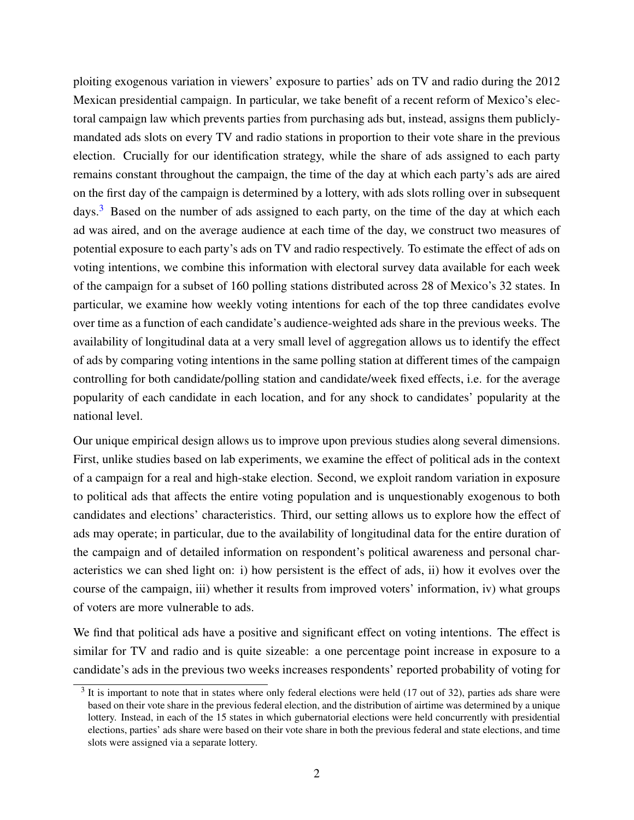ploiting exogenous variation in viewers' exposure to parties' ads on TV and radio during the 2012 Mexican presidential campaign. In particular, we take benefit of a recent reform of Mexico's electoral campaign law which prevents parties from purchasing ads but, instead, assigns them publiclymandated ads slots on every TV and radio stations in proportion to their vote share in the previous election. Crucially for our identification strategy, while the share of ads assigned to each party remains constant throughout the campaign, the time of the day at which each party's ads are aired on the first day of the campaign is determined by a lottery, with ads slots rolling over in subsequent days.<sup>[3](#page-0-0)</sup> Based on the number of ads assigned to each party, on the time of the day at which each ad was aired, and on the average audience at each time of the day, we construct two measures of potential exposure to each party's ads on TV and radio respectively. To estimate the effect of ads on voting intentions, we combine this information with electoral survey data available for each week of the campaign for a subset of 160 polling stations distributed across 28 of Mexico's 32 states. In particular, we examine how weekly voting intentions for each of the top three candidates evolve over time as a function of each candidate's audience-weighted ads share in the previous weeks. The availability of longitudinal data at a very small level of aggregation allows us to identify the effect of ads by comparing voting intentions in the same polling station at different times of the campaign controlling for both candidate/polling station and candidate/week fixed effects, i.e. for the average popularity of each candidate in each location, and for any shock to candidates' popularity at the national level.

Our unique empirical design allows us to improve upon previous studies along several dimensions. First, unlike studies based on lab experiments, we examine the effect of political ads in the context of a campaign for a real and high-stake election. Second, we exploit random variation in exposure to political ads that affects the entire voting population and is unquestionably exogenous to both candidates and elections' characteristics. Third, our setting allows us to explore how the effect of ads may operate; in particular, due to the availability of longitudinal data for the entire duration of the campaign and of detailed information on respondent's political awareness and personal characteristics we can shed light on: i) how persistent is the effect of ads, ii) how it evolves over the course of the campaign, iii) whether it results from improved voters' information, iv) what groups of voters are more vulnerable to ads.

We find that political ads have a positive and significant effect on voting intentions. The effect is similar for TV and radio and is quite sizeable: a one percentage point increase in exposure to a candidate's ads in the previous two weeks increases respondents' reported probability of voting for

 $3$  It is important to note that in states where only federal elections were held (17 out of 32), parties ads share were based on their vote share in the previous federal election, and the distribution of airtime was determined by a unique lottery. Instead, in each of the 15 states in which gubernatorial elections were held concurrently with presidential elections, parties' ads share were based on their vote share in both the previous federal and state elections, and time slots were assigned via a separate lottery.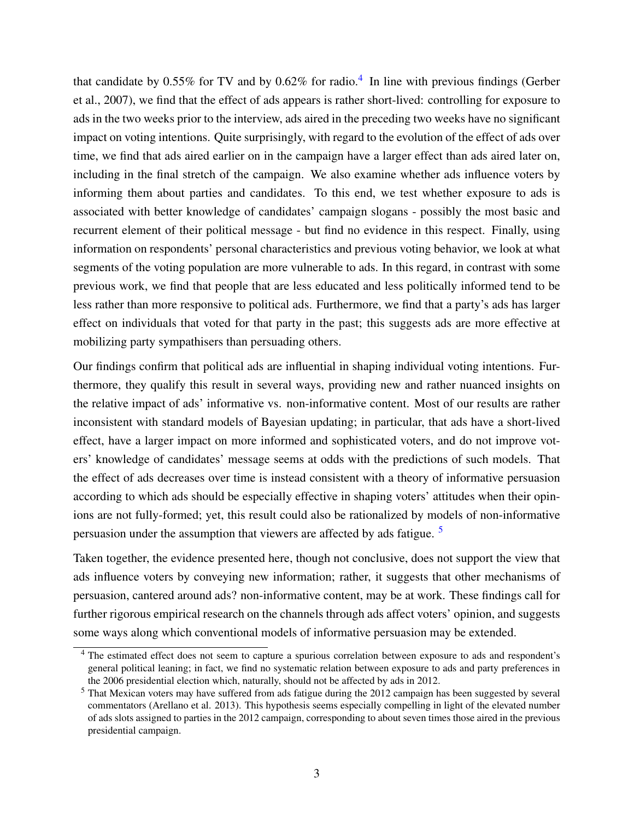that candidate by 0.55% for TV and by 0.62% for radio.<sup>[4](#page-0-0)</sup> In line with previous findings [\(Gerber](#page-22-4) [et al.,](#page-22-4) [2007\)](#page-22-4), we find that the effect of ads appears is rather short-lived: controlling for exposure to ads in the two weeks prior to the interview, ads aired in the preceding two weeks have no significant impact on voting intentions. Quite surprisingly, with regard to the evolution of the effect of ads over time, we find that ads aired earlier on in the campaign have a larger effect than ads aired later on, including in the final stretch of the campaign. We also examine whether ads influence voters by informing them about parties and candidates. To this end, we test whether exposure to ads is associated with better knowledge of candidates' campaign slogans - possibly the most basic and recurrent element of their political message - but find no evidence in this respect. Finally, using information on respondents' personal characteristics and previous voting behavior, we look at what segments of the voting population are more vulnerable to ads. In this regard, in contrast with some previous work, we find that people that are less educated and less politically informed tend to be less rather than more responsive to political ads. Furthermore, we find that a party's ads has larger effect on individuals that voted for that party in the past; this suggests ads are more effective at mobilizing party sympathisers than persuading others.

Our findings confirm that political ads are influential in shaping individual voting intentions. Furthermore, they qualify this result in several ways, providing new and rather nuanced insights on the relative impact of ads' informative vs. non-informative content. Most of our results are rather inconsistent with standard models of Bayesian updating; in particular, that ads have a short-lived effect, have a larger impact on more informed and sophisticated voters, and do not improve voters' knowledge of candidates' message seems at odds with the predictions of such models. That the effect of ads decreases over time is instead consistent with a theory of informative persuasion according to which ads should be especially effective in shaping voters' attitudes when their opinions are not fully-formed; yet, this result could also be rationalized by models of non-informative persuasion under the assumption that viewers are affected by ads fatigue. [5](#page-0-0)

Taken together, the evidence presented here, though not conclusive, does not support the view that ads influence voters by conveying new information; rather, it suggests that other mechanisms of persuasion, cantered around ads? non-informative content, may be at work. These findings call for further rigorous empirical research on the channels through ads affect voters' opinion, and suggests some ways along which conventional models of informative persuasion may be extended.

<sup>&</sup>lt;sup>4</sup> The estimated effect does not seem to capture a spurious correlation between exposure to ads and respondent's general political leaning; in fact, we find no systematic relation between exposure to ads and party preferences in the 2006 presidential election which, naturally, should not be affected by ads in 2012.

<sup>5</sup> That Mexican voters may have suffered from ads fatigue during the 2012 campaign has been suggested by several commentators (Arellano et al. 2013). This hypothesis seems especially compelling in light of the elevated number of ads slots assigned to parties in the 2012 campaign, corresponding to about seven times those aired in the previous presidential campaign.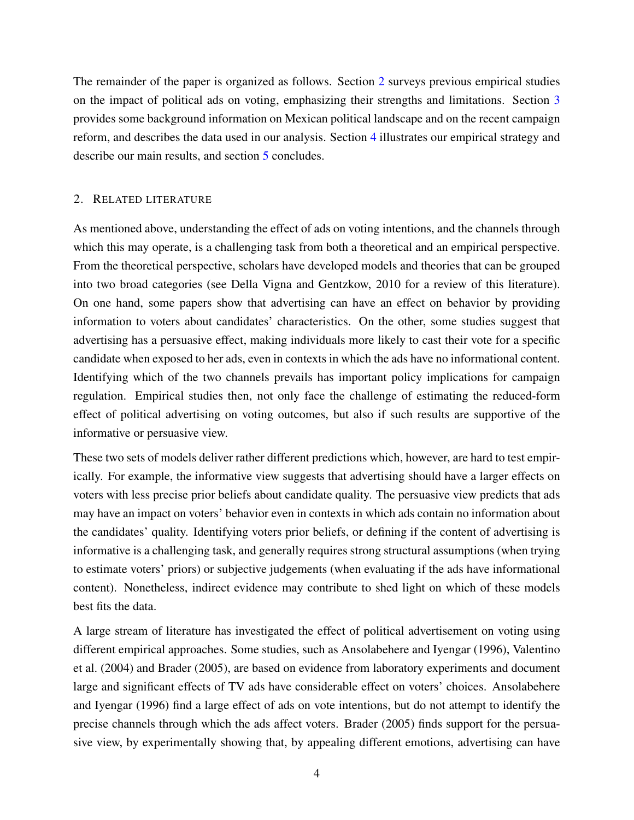The remainder of the paper is organized as follows. Section [2](#page-4-0) surveys previous empirical studies on the impact of political ads on voting, emphasizing their strengths and limitations. Section [3](#page-6-0) provides some background information on Mexican political landscape and on the recent campaign reform, and describes the data used in our analysis. Section [4](#page-12-0) illustrates our empirical strategy and describe our main results, and section [5](#page-20-0) concludes.

# <span id="page-4-0"></span>2. RELATED LITERATURE

As mentioned above, understanding the effect of ads on voting intentions, and the channels through which this may operate, is a challenging task from both a theoretical and an empirical perspective. From the theoretical perspective, scholars have developed models and theories that can be grouped into two broad categories (see Della Vigna and Gentzkow, 2010 for a review of this literature). On one hand, some papers show that advertising can have an effect on behavior by providing information to voters about candidates' characteristics. On the other, some studies suggest that advertising has a persuasive effect, making individuals more likely to cast their vote for a specific candidate when exposed to her ads, even in contexts in which the ads have no informational content. Identifying which of the two channels prevails has important policy implications for campaign regulation. Empirical studies then, not only face the challenge of estimating the reduced-form effect of political advertising on voting outcomes, but also if such results are supportive of the informative or persuasive view.

These two sets of models deliver rather different predictions which, however, are hard to test empirically. For example, the informative view suggests that advertising should have a larger effects on voters with less precise prior beliefs about candidate quality. The persuasive view predicts that ads may have an impact on voters' behavior even in contexts in which ads contain no information about the candidates' quality. Identifying voters prior beliefs, or defining if the content of advertising is informative is a challenging task, and generally requires strong structural assumptions (when trying to estimate voters' priors) or subjective judgements (when evaluating if the ads have informational content). Nonetheless, indirect evidence may contribute to shed light on which of these models best fits the data.

A large stream of literature has investigated the effect of political advertisement on voting using different empirical approaches. Some studies, such as [Ansolabehere and Iyengar](#page-22-2) [\(1996\)](#page-22-2), [Valentino](#page-23-0) [et al.](#page-23-0) [\(2004\)](#page-23-0) and [Brader](#page-22-3) [\(2005\)](#page-22-3), are based on evidence from laboratory experiments and document large and significant effects of TV ads have considerable effect on voters' choices. [Ansolabehere](#page-22-2) [and Iyengar](#page-22-2) [\(1996\)](#page-22-2) find a large effect of ads on vote intentions, but do not attempt to identify the precise channels through which the ads affect voters. [Brader](#page-22-3) [\(2005\)](#page-22-3) finds support for the persuasive view, by experimentally showing that, by appealing different emotions, advertising can have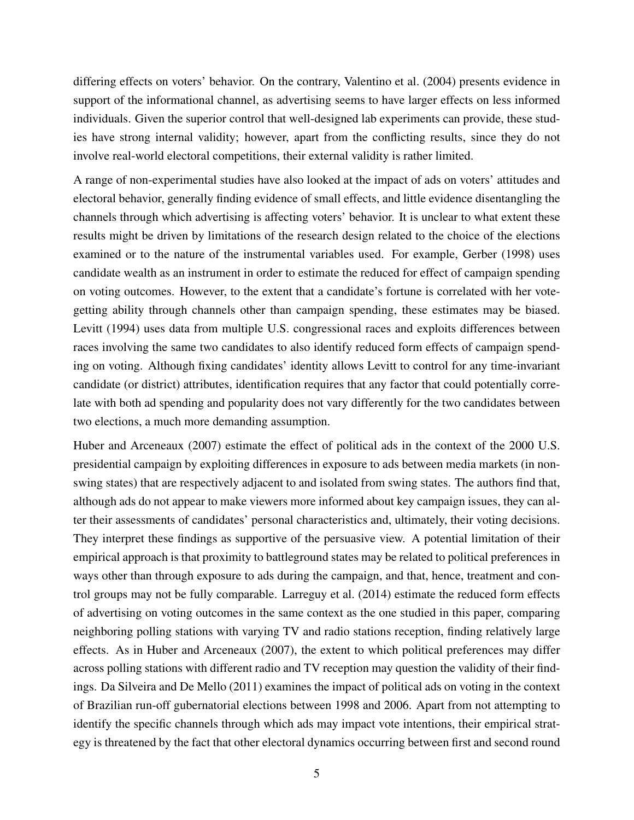differing effects on voters' behavior. On the contrary, [Valentino et al.](#page-23-0) [\(2004\)](#page-23-0) presents evidence in support of the informational channel, as advertising seems to have larger effects on less informed individuals. Given the superior control that well-designed lab experiments can provide, these studies have strong internal validity; however, apart from the conflicting results, since they do not involve real-world electoral competitions, their external validity is rather limited.

A range of non-experimental studies have also looked at the impact of ads on voters' attitudes and electoral behavior, generally finding evidence of small effects, and little evidence disentangling the channels through which advertising is affecting voters' behavior. It is unclear to what extent these results might be driven by limitations of the research design related to the choice of the elections examined or to the nature of the instrumental variables used. For example, [Gerber](#page-22-6) [\(1998\)](#page-22-6) uses candidate wealth as an instrument in order to estimate the reduced for effect of campaign spending on voting outcomes. However, to the extent that a candidate's fortune is correlated with her votegetting ability through channels other than campaign spending, these estimates may be biased. [Levitt](#page-22-1) [\(1994\)](#page-22-1) uses data from multiple U.S. congressional races and exploits differences between races involving the same two candidates to also identify reduced form effects of campaign spending on voting. Although fixing candidates' identity allows Levitt to control for any time-invariant candidate (or district) attributes, identification requires that any factor that could potentially correlate with both ad spending and popularity does not vary differently for the two candidates between two elections, a much more demanding assumption.

[Huber and Arceneaux](#page-22-7) [\(2007\)](#page-22-7) estimate the effect of political ads in the context of the 2000 U.S. presidential campaign by exploiting differences in exposure to ads between media markets (in nonswing states) that are respectively adjacent to and isolated from swing states. The authors find that, although ads do not appear to make viewers more informed about key campaign issues, they can alter their assessments of candidates' personal characteristics and, ultimately, their voting decisions. They interpret these findings as supportive of the persuasive view. A potential limitation of their empirical approach is that proximity to battleground states may be related to political preferences in ways other than through exposure to ads during the campaign, and that, hence, treatment and control groups may not be fully comparable. [Larreguy et al.](#page-22-8) [\(2014\)](#page-22-8) estimate the reduced form effects of advertising on voting outcomes in the same context as the one studied in this paper, comparing neighboring polling stations with varying TV and radio stations reception, finding relatively large effects. As in [Huber and Arceneaux](#page-22-7) [\(2007\)](#page-22-7), the extent to which political preferences may differ across polling stations with different radio and TV reception may question the validity of their findings. Da Silveira and De Mello (2011) examines the impact of political ads on voting in the context of Brazilian run-off gubernatorial elections between 1998 and 2006. Apart from not attempting to identify the specific channels through which ads may impact vote intentions, their empirical strategy is threatened by the fact that other electoral dynamics occurring between first and second round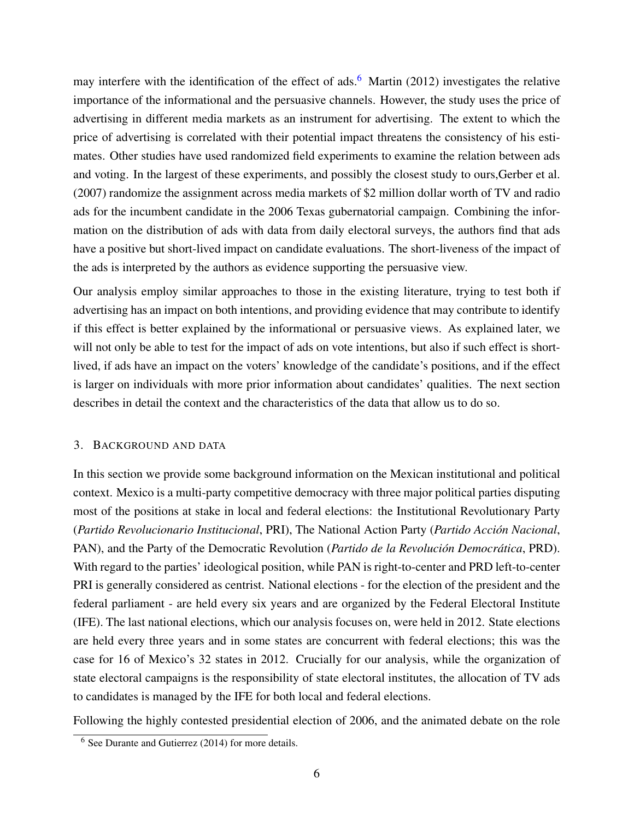may interfere with the identification of the effect of ads.<sup>[6](#page-0-0)</sup> [Martin](#page-22-9) [\(2012\)](#page-22-9) investigates the relative importance of the informational and the persuasive channels. However, the study uses the price of advertising in different media markets as an instrument for advertising. The extent to which the price of advertising is correlated with their potential impact threatens the consistency of his estimates. Other studies have used randomized field experiments to examine the relation between ads and voting. In the largest of these experiments, and possibly the closest study to ours[,Gerber et al.](#page-22-4) [\(2007\)](#page-22-4) randomize the assignment across media markets of \$2 million dollar worth of TV and radio ads for the incumbent candidate in the 2006 Texas gubernatorial campaign. Combining the information on the distribution of ads with data from daily electoral surveys, the authors find that ads have a positive but short-lived impact on candidate evaluations. The short-liveness of the impact of the ads is interpreted by the authors as evidence supporting the persuasive view.

Our analysis employ similar approaches to those in the existing literature, trying to test both if advertising has an impact on both intentions, and providing evidence that may contribute to identify if this effect is better explained by the informational or persuasive views. As explained later, we will not only be able to test for the impact of ads on vote intentions, but also if such effect is shortlived, if ads have an impact on the voters' knowledge of the candidate's positions, and if the effect is larger on individuals with more prior information about candidates' qualities. The next section describes in detail the context and the characteristics of the data that allow us to do so.

# <span id="page-6-0"></span>3. BACKGROUND AND DATA

In this section we provide some background information on the Mexican institutional and political context. Mexico is a multi-party competitive democracy with three major political parties disputing most of the positions at stake in local and federal elections: the Institutional Revolutionary Party (*Partido Revolucionario Institucional*, PRI), The National Action Party (*Partido Acción Nacional*, PAN), and the Party of the Democratic Revolution (*Partido de la Revolución Democrática*, PRD). With regard to the parties' ideological position, while PAN is right-to-center and PRD left-to-center PRI is generally considered as centrist. National elections - for the election of the president and the federal parliament - are held every six years and are organized by the Federal Electoral Institute (IFE). The last national elections, which our analysis focuses on, were held in 2012. State elections are held every three years and in some states are concurrent with federal elections; this was the case for 16 of Mexico's 32 states in 2012. Crucially for our analysis, while the organization of state electoral campaigns is the responsibility of state electoral institutes, the allocation of TV ads to candidates is managed by the IFE for both local and federal elections.

Following the highly contested presidential election of 2006, and the animated debate on the role

<sup>6</sup> See Durante and Gutierrez (2014) for more details.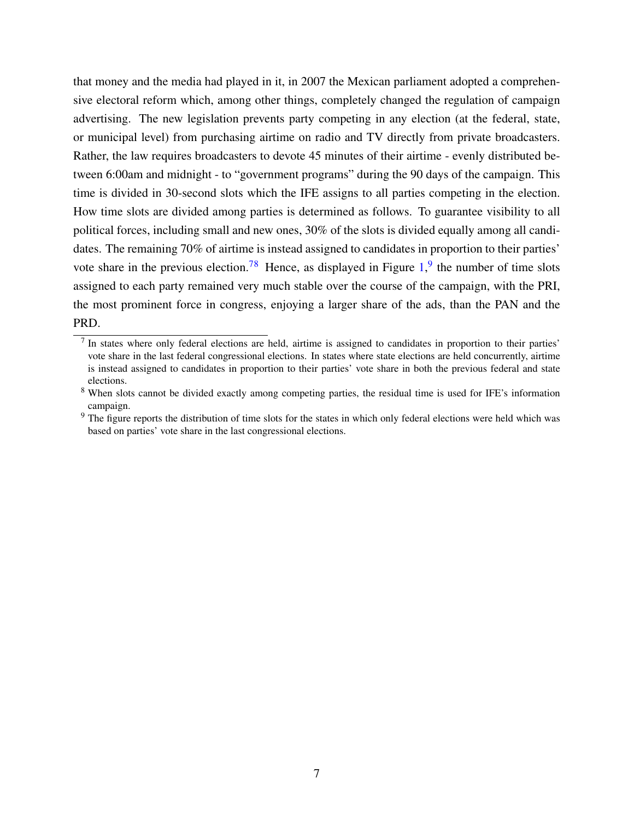that money and the media had played in it, in 2007 the Mexican parliament adopted a comprehensive electoral reform which, among other things, completely changed the regulation of campaign advertising. The new legislation prevents party competing in any election (at the federal, state, or municipal level) from purchasing airtime on radio and TV directly from private broadcasters. Rather, the law requires broadcasters to devote 45 minutes of their airtime - evenly distributed between 6:00am and midnight - to "government programs" during the 90 days of the campaign. This time is divided in 30-second slots which the IFE assigns to all parties competing in the election. How time slots are divided among parties is determined as follows. To guarantee visibility to all political forces, including small and new ones, 30% of the slots is divided equally among all candidates. The remaining 70% of airtime is instead assigned to candidates in proportion to their parties' vote share in the previous election.<sup>[78](#page-0-0)</sup> Hence, as displayed in Figure  $1<sup>9</sup>$  $1<sup>9</sup>$  $1<sup>9</sup>$ , the number of time slots assigned to each party remained very much stable over the course of the campaign, with the PRI, the most prominent force in congress, enjoying a larger share of the ads, than the PAN and the PRD.

 $<sup>7</sup>$  In states where only federal elections are held, airtime is assigned to candidates in proportion to their parties'</sup> vote share in the last federal congressional elections. In states where state elections are held concurrently, airtime is instead assigned to candidates in proportion to their parties' vote share in both the previous federal and state elections.

<sup>&</sup>lt;sup>8</sup> When slots cannot be divided exactly among competing parties, the residual time is used for IFE's information campaign.

<sup>&</sup>lt;sup>9</sup> The figure reports the distribution of time slots for the states in which only federal elections were held which was based on parties' vote share in the last congressional elections.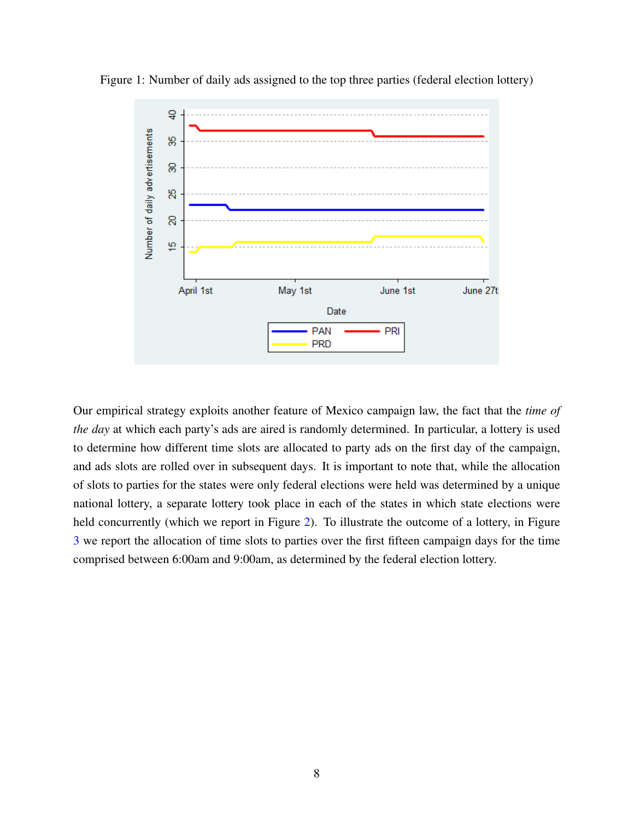

<span id="page-8-0"></span>Figure 1: Number of daily ads assigned to the top three parties (federal election lottery)

Our empirical strategy exploits another feature of Mexico campaign law, the fact that the *time of the day* at which each party's ads are aired is randomly determined. In particular, a lottery is used to determine how different time slots are allocated to party ads on the first day of the campaign, and ads slots are rolled over in subsequent days. It is important to note that, while the allocation of slots to parties for the states were only federal elections were held was determined by a unique national lottery, a separate lottery took place in each of the states in which state elections were held concurrently (which we report in Figure [2\)](#page-9-0). To illustrate the outcome of a lottery, in Figure [3](#page-9-1) we report the allocation of time slots to parties over the first fifteen campaign days for the time comprised between 6:00am and 9:00am, as determined by the federal election lottery.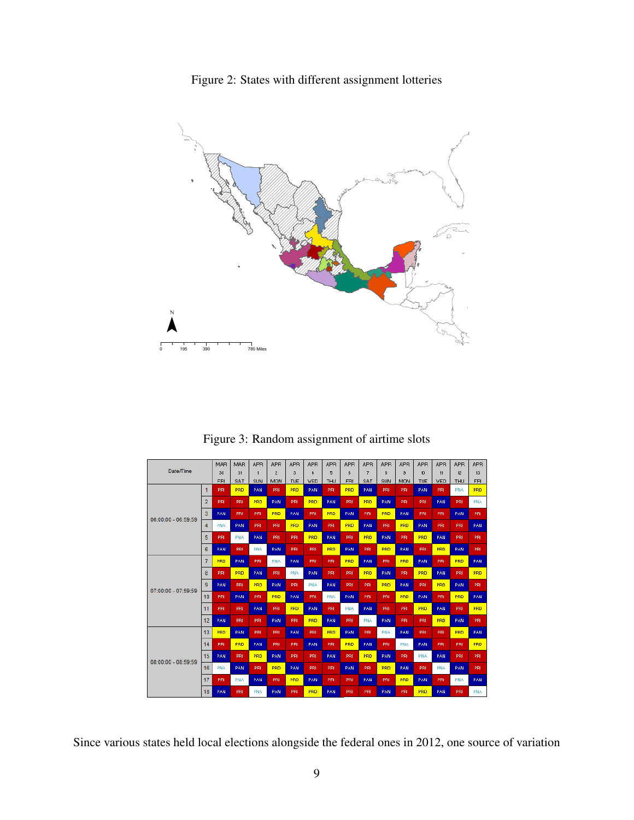Figure 2: States with different assignment lotteries

<span id="page-9-0"></span>

<span id="page-9-1"></span>Figure 3: Random assignment of airtime slots How pautas work through the campaign

|                     |                | MAR        | MAR | <b>APR</b> | <b>APR</b>     | <b>APR</b> | <b>APB</b> | <b>APR</b> | <b>APR</b> | <b>APR</b> | <b>APR</b> | <b>APR</b>     | <b>APR</b> | <b>APR</b> | <b>APR</b> | <b>APR</b> |
|---------------------|----------------|------------|-----|------------|----------------|------------|------------|------------|------------|------------|------------|----------------|------------|------------|------------|------------|
| Date/Time           |                | 30         | 31  |            | $\overline{2}$ | 3          | 4          | 5          | 6          | 7          | 8          | $\overline{9}$ | 10         | 11         | 12         | 13         |
|                     |                | FBI        | SAT | SUN        | MON            | <b>TUE</b> | <b>VED</b> | THU        | FRI        | SAT        | SUN        | MON            | TUE        | <b>VED</b> | THU        | FRI        |
|                     | 1              | PRI        | PRD | PAN        | PRI            | <b>PRD</b> | <b>PAN</b> | PRI        | PRD        | PAN        | PRI        | PRI            | PAN        | PRI        | <b>PNA</b> | PRD        |
|                     | 2              | PRI        | PRI | PRD        | PAN            | PRI        | PRD        | <b>PAN</b> | PRI        | PRD        | <b>PAN</b> | PRI            | PRI        | PAN        | PRI        | <b>PNA</b> |
| 06:00:00 - 06:59:59 | 3              | PAN        | PRI | PRI        | <b>PRD</b>     | PAN        | PRI        | PRD        | PAN        | PRI        | <b>PRD</b> | PAN            | PRI        | PRI        | PAN        | PRI        |
|                     | 4              | <b>PNA</b> | PAN | PRI        | PRI            | <b>PRD</b> | PAN.       | <b>PRI</b> | <b>PRD</b> | PAN        | PRI        | PRD            | PAN        | PRI        | PRI        | PAN        |
|                     | 5              | PRI        | PNA | PAN        | PRI            | PRI.       | PRD        | <b>PAN</b> | PRI        | <b>PRD</b> | PAN        | PRI            | PRD        | PAN        | PRI        | PRI        |
|                     | 6              | PAN        | PRI | <b>PNA</b> | PAN            | PRI        | PRI.       | <b>PRD</b> | PAN        | PRI        | <b>PRD</b> | PAN            | PRI        | <b>PRD</b> | PAN        | PRI        |
|                     | $\overline{7}$ | PRD        | PAN | PRI        | <b>PNA</b>     | PAN        | PRI        | PRI        | PRD        | PAN        | PRI        | <b>PRD</b>     | PAN        | PRI        | PRD        | PAN        |
|                     | 8              | <b>PRI</b> | PRD | PAN        | PRI            | <b>PNA</b> | PAN.       | <b>PRI</b> | PRI        | <b>PRD</b> | <b>PAN</b> | PRI            | <b>PRD</b> | <b>PAN</b> | PRI        | PRD        |
| 07:00:00 - 07:59:59 | 9              | PAN        | PRI | PRD        | PAN            | PRI.       | <b>PNA</b> | PAN.       | PRI        | PRI        | PRD        | PAN            | PRI        | <b>PRD</b> | PAN        | PRI        |
|                     | 10             | PRI        | PAN | PRI        | PRD            | PAN        | PRI        | PNA        | PAN        | PRI        | PRI        | PRD            | PAN        | PRI        | PRD        | PAN        |
|                     | 11             | PRI        | PRI | PAN        | PRI            | <b>PRD</b> | <b>PAN</b> | <b>PRI</b> | PNA        | PAN        | PRI        | PRI            | PRD        | PAN        | PRI        | PRD        |
|                     | 12             | PAN        | PRI | PRI        | PAN            | PRI        | PRD        | <b>PAN</b> | PRI        | PNA        | PAN        | PRI            | PRI        | PRD        | PAN        | PRI        |
|                     | 13             | <b>PRD</b> | PAN | PRI        | PRI            | PAN        | <b>PRI</b> | <b>PRD</b> | PAN        | PRI        | <b>PNA</b> | PAN            | PRI        | PRI        | <b>PRD</b> | PAN        |
|                     | 14             | PRI        | PRD | PAN        | PRI            | PRI        | <b>PAN</b> | PRI        | PRD        | PAN        | PRI        | <b>PNA</b>     | PAN        | PRI        | PRI        | PRD        |
| 08:00:00 - 08:59:59 | 15             | PAN        | PRI | <b>PRD</b> | PAN            | PRI        | PRI        | <b>PAN</b> | PRI        | <b>PRD</b> | PAN        | PRI            | <b>PNA</b> | PAN        | PRI        | PRI        |
|                     | 16             | PNA        | PAN | PRI        | <b>PRD</b>     | PAN        | PRI        | <b>PRI</b> | PAN        | PRI        | PRD        | PAN            | PRI        | <b>PNA</b> | PAN        | PRI        |
|                     | 17             | PRI        | PNA | PAN        | PRI            | <b>PRD</b> | <b>PAN</b> | PRI        | PRI        | PAN        | PRI        | <b>PRD</b>     | PAN        | PRI        | PNA        | PAN        |
|                     | 18             | PAN        | PRI | PNA        | PAN            | PRI        | PRD        | PAN.       | PRI        | PRI        | PAN        | PRI            | <b>PRD</b> | PAN        | PRI        | PNA        |

Since various states held local elections alongside the federal ones in 2012, one source of variation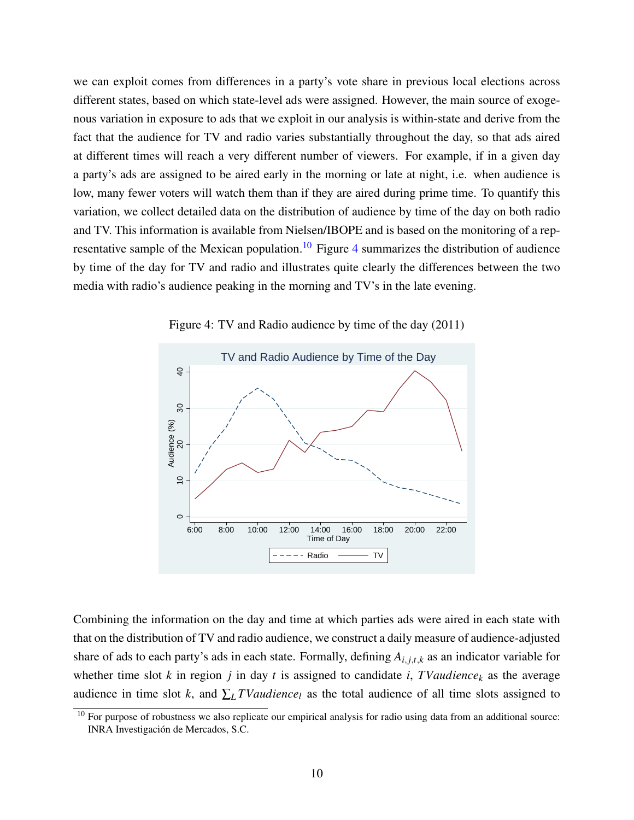we can exploit comes from differences in a party's vote share in previous local elections across different states, based on which state-level ads were assigned. However, the main source of exogenous variation in exposure to ads that we exploit in our analysis is within-state and derive from the fact that the audience for TV and radio varies substantially throughout the day, so that ads aired at different times will reach a very different number of viewers. For example, if in a given day a party's ads are assigned to be aired early in the morning or late at night, i.e. when audience is low, many fewer voters will watch them than if they are aired during prime time. To quantify this variation, we collect detailed data on the distribution of audience by time of the day on both radio and TV. This information is available from Nielsen/IBOPE and is based on the monitoring of a rep-resentative sample of the Mexican population.<sup>[10](#page-0-0)</sup> Figure [4](#page-10-0) summarizes the distribution of audience by time of the day for TV and radio and illustrates quite clearly the differences between the two media with radio's audience peaking in the morning and TV's in the late evening.

<span id="page-10-0"></span>

Figure 4: TV and Radio audience by time of the day (2011)

Combining the information on the day and time at which parties ads were aired in each state with that on the distribution of TV and radio audience, we construct a daily measure of audience-adjusted share of ads to each party's ads in each state. Formally, defining  $A_{i,j,t,k}$  as an indicator variable for whether time slot  $k$  in region  $j$  in day  $t$  is assigned to candidate  $i$ ,  $TValdience_k$  as the average audience in time slot *k*, and  $\sum_{L} TV \cdot \text{u} \cdot \text{u} \cdot \text{u} \cdot \text{u}$  as the total audience of all time slots assigned to

<sup>&</sup>lt;sup>10</sup> For purpose of robustness we also replicate our empirical analysis for radio using data from an additional source: INRA Investigación de Mercados, S.C.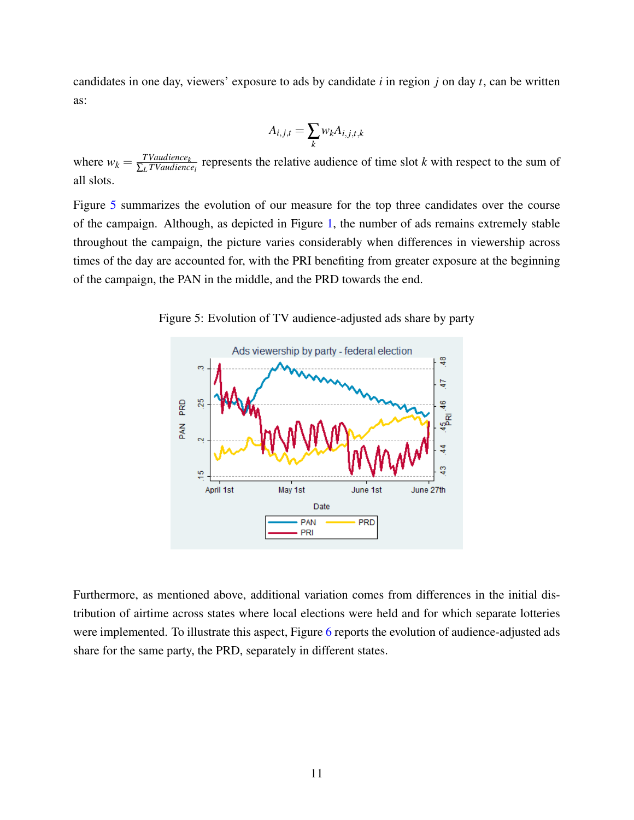candidates in one day, viewers' exposure to ads by candidate *i* in region *j* on day *t*, can be written as:

$$
A_{i,j,t} = \sum_{k} w_k A_{i,j,t,k}
$$

where  $w_k = \frac{TVaudience_k}{\sum_{l}TVaudience_l}$  $\frac{Y}{\sum_{L} T Value|lenc_{\ell}}$  represents the relative audience of time slot *k* with respect to the sum of all slots.

Figure [5](#page-11-0) summarizes the evolution of our measure for the top three candidates over the course of the campaign. Although, as depicted in Figure [1,](#page-8-0) the number of ads remains extremely stable throughout the campaign, the picture varies considerably when differences in viewership across times of the day are accounted for, with the PRI benefiting from greater exposure at the beginning of the campaign, the PAN in the middle, and the PRD towards the end.

<span id="page-11-0"></span>Figure 5: Evolution of TV audience-adjusted ads share by party



Furthermore, as mentioned above, additional variation comes from differences in the initial distribution of airtime across states where local elections were held and for which separate lotteries were implemented. To illustrate this aspect, Figure [6](#page-12-1) reports the evolution of audience-adjusted ads share for the same party, the PRD, separately in different states.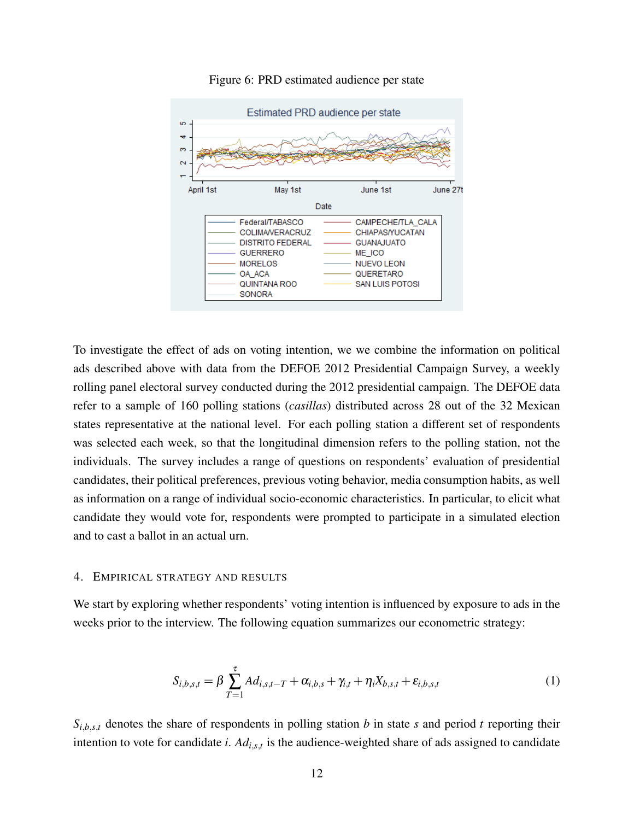<span id="page-12-1"></span>

#### Figure 6: PRD estimated audience per state

To investigate the effect of ads on voting intention, we we combine the information on political ads described above with data from the DEFOE 2012 Presidential Campaign Survey, a weekly rolling panel electoral survey conducted during the 2012 presidential campaign. The DEFOE data refer to a sample of 160 polling stations (*casillas*) distributed across 28 out of the 32 Mexican states representative at the national level. For each polling station a different set of respondents was selected each week, so that the longitudinal dimension refers to the polling station, not the individuals. The survey includes a range of questions on respondents' evaluation of presidential candidates, their political preferences, previous voting behavior, media consumption habits, as well as information on a range of individual socio-economic characteristics. In particular, to elicit what candidate they would vote for, respondents were prompted to participate in a simulated election and to cast a ballot in an actual urn.

#### <span id="page-12-0"></span>4. EMPIRICAL STRATEGY AND RESULTS

We start by exploring whether respondents' voting intention is influenced by exposure to ads in the weeks prior to the interview. The following equation summarizes our econometric strategy:

$$
S_{i,b,s,t} = \beta \sum_{T=1}^{\tau} A d_{i,s,t-T} + \alpha_{i,b,s} + \gamma_{i,t} + \eta_i X_{b,s,t} + \varepsilon_{i,b,s,t}
$$
 (1)

 $S_{i,b,s,t}$  denotes the share of respondents in polling station *b* in state *s* and period *t* reporting their intention to vote for candidate *i*. *Adi*,*s*,*<sup>t</sup>* is the audience-weighted share of ads assigned to candidate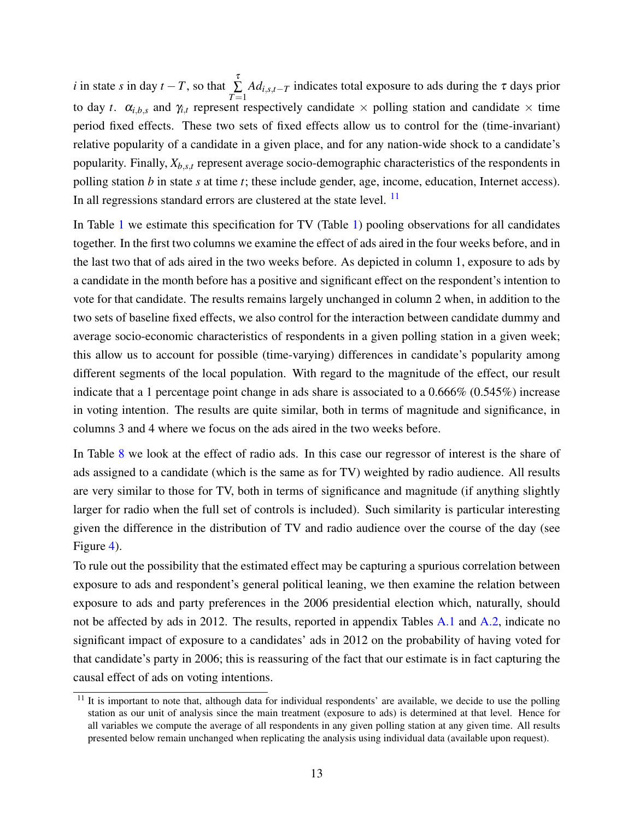*i* in state *s* in day  $t - T$ , so that  $\sum_{r=1}^{T}$  $\sum_{T=1}$ *Adi*,*s*,*t*−*<sup>T</sup>* indicates total exposure to ads during the τ days prior to day *t*.  $\alpha_{i,b,s}$  and  $\gamma_{i,t}$  represent respectively candidate  $\times$  polling station and candidate  $\times$  time period fixed effects. These two sets of fixed effects allow us to control for the (time-invariant) relative popularity of a candidate in a given place, and for any nation-wide shock to a candidate's popularity. Finally, *Xb*,*s*,*<sup>t</sup>* represent average socio-demographic characteristics of the respondents in polling station *b* in state *s* at time *t*; these include gender, age, income, education, Internet access). In all regressions standard errors are clustered at the state level. <sup>[11](#page-0-0)</sup>

In Table [1](#page-14-0) we estimate this specification for TV (Table [1\)](#page-14-0) pooling observations for all candidates together. In the first two columns we examine the effect of ads aired in the four weeks before, and in the last two that of ads aired in the two weeks before. As depicted in column 1, exposure to ads by a candidate in the month before has a positive and significant effect on the respondent's intention to vote for that candidate. The results remains largely unchanged in column 2 when, in addition to the two sets of baseline fixed effects, we also control for the interaction between candidate dummy and average socio-economic characteristics of respondents in a given polling station in a given week; this allow us to account for possible (time-varying) differences in candidate's popularity among different segments of the local population. With regard to the magnitude of the effect, our result indicate that a 1 percentage point change in ads share is associated to a 0.666% (0.545%) increase in voting intention. The results are quite similar, both in terms of magnitude and significance, in columns 3 and 4 where we focus on the ads aired in the two weeks before.

In Table [8](#page-20-1) we look at the effect of radio ads. In this case our regressor of interest is the share of ads assigned to a candidate (which is the same as for TV) weighted by radio audience. All results are very similar to those for TV, both in terms of significance and magnitude (if anything slightly larger for radio when the full set of controls is included). Such similarity is particular interesting given the difference in the distribution of TV and radio audience over the course of the day (see Figure [4\)](#page-10-0).

To rule out the possibility that the estimated effect may be capturing a spurious correlation between exposure to ads and respondent's general political leaning, we then examine the relation between exposure to ads and party preferences in the 2006 presidential election which, naturally, should not be affected by ads in 2012. The results, reported in appendix Tables [A.1](#page-24-0) and [A.2,](#page-25-0) indicate no significant impact of exposure to a candidates' ads in 2012 on the probability of having voted for that candidate's party in 2006; this is reassuring of the fact that our estimate is in fact capturing the causal effect of ads on voting intentions.

 $11$  It is important to note that, although data for individual respondents' are available, we decide to use the polling station as our unit of analysis since the main treatment (exposure to ads) is determined at that level. Hence for all variables we compute the average of all respondents in any given polling station at any given time. All results presented below remain unchanged when replicating the analysis using individual data (available upon request).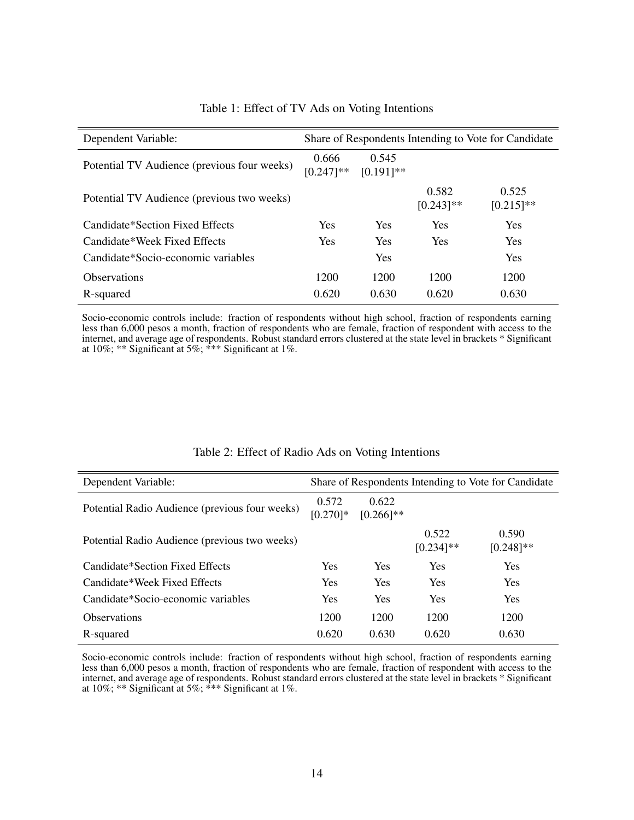<span id="page-14-0"></span>

| Dependent Variable:                         | Share of Respondents Intending to Vote for Candidate |                       |                       |                       |  |  |
|---------------------------------------------|------------------------------------------------------|-----------------------|-----------------------|-----------------------|--|--|
| Potential TV Audience (previous four weeks) | 0.666<br>$[0.247]$ **                                | 0.545<br>$[0.191]$ ** |                       |                       |  |  |
| Potential TV Audience (previous two weeks)  |                                                      |                       | 0.582<br>$[0.243]$ ** | 0.525<br>$[0.215]$ ** |  |  |
| Candidate*Section Fixed Effects             | <b>Yes</b>                                           | <b>Yes</b>            | <b>Yes</b>            | <b>Yes</b>            |  |  |
| Candidate*Week Fixed Effects                | Yes                                                  | <b>Yes</b>            | <b>Yes</b>            | <b>Yes</b>            |  |  |
| Candidate*Socio-economic variables          |                                                      | <b>Yes</b>            |                       | <b>Yes</b>            |  |  |
| <b>Observations</b>                         | 1200                                                 | 1200                  | 1200                  | 1200                  |  |  |
| R-squared                                   | 0.620                                                | 0.630                 | 0.620                 | 0.630                 |  |  |

# Table 1: Effect of TV Ads on Voting Intentions

Socio-economic controls include: fraction of respondents without high school, fraction of respondents earning less than 6,000 pesos a month, fraction of respondents who are female, fraction of respondent with access to the internet, and average age of respondents. Robust standard errors clustered at the state level in brackets \* Significant at 10%; \*\* Significant at 5%; \*\*\* Significant at 1%.

| Dependent Variable:                            |                      |                       |                       | Share of Respondents Intending to Vote for Candidate |
|------------------------------------------------|----------------------|-----------------------|-----------------------|------------------------------------------------------|
| Potential Radio Audience (previous four weeks) | 0.572<br>$[0.270]$ * | 0.622<br>$[0.266]$ ** |                       |                                                      |
| Potential Radio Audience (previous two weeks)  |                      |                       | 0.522<br>$[0.234]$ ** | 0.590<br>$[0.248]$ **                                |
| Candidate*Section Fixed Effects                | <b>Yes</b>           | <b>Yes</b>            | Yes                   | <b>Yes</b>                                           |
| Candidate*Week Fixed Effects                   | <b>Yes</b>           | <b>Yes</b>            | Yes                   | <b>Yes</b>                                           |
| Candidate*Socio-economic variables             | <b>Yes</b>           | <b>Yes</b>            | Yes                   | <b>Yes</b>                                           |
| <b>Observations</b>                            | 1200                 | 1200                  | 1200                  | 1200                                                 |
| R-squared                                      | 0.620                | 0.630                 | 0.620                 | 0.630                                                |

#### Table 2: Effect of Radio Ads on Voting Intentions

Socio-economic controls include: fraction of respondents without high school, fraction of respondents earning less than 6,000 pesos a month, fraction of respondents who are female, fraction of respondent with access to the internet, and average age of respondents. Robust standard errors clustered at the state level in brackets \* Significant at 10%; \*\* Significant at 5%; \*\*\* Significant at 1%.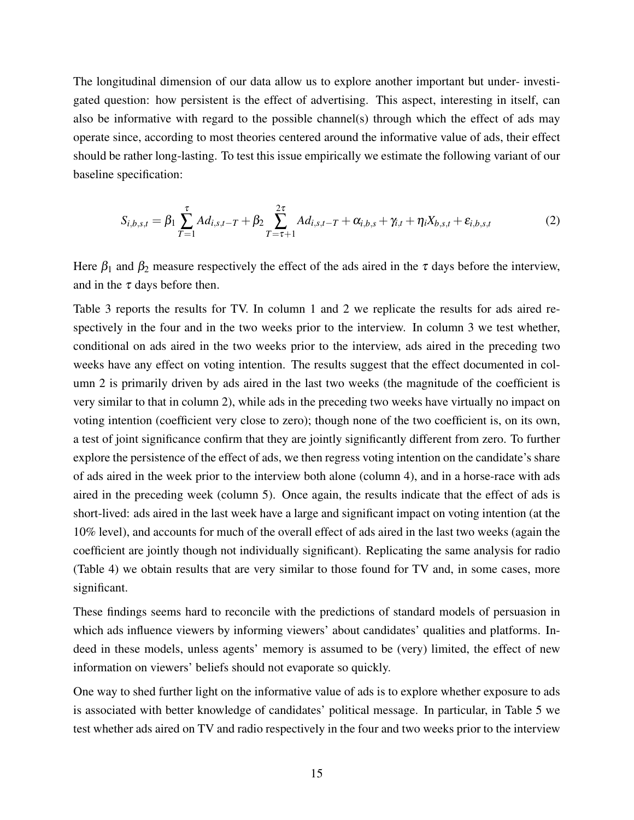The longitudinal dimension of our data allow us to explore another important but under- investigated question: how persistent is the effect of advertising. This aspect, interesting in itself, can also be informative with regard to the possible channel(s) through which the effect of ads may operate since, according to most theories centered around the informative value of ads, their effect should be rather long-lasting. To test this issue empirically we estimate the following variant of our baseline specification:

$$
S_{i,b,s,t} = \beta_1 \sum_{T=1}^{\tau} A d_{i,s,t-T} + \beta_2 \sum_{T=\tau+1}^{2\tau} A d_{i,s,t-T} + \alpha_{i,b,s} + \gamma_{i,t} + \eta_i X_{b,s,t} + \varepsilon_{i,b,s,t}
$$
(2)

Here  $\beta_1$  and  $\beta_2$  measure respectively the effect of the ads aired in the  $\tau$  days before the interview, and in the  $\tau$  days before then.

Table 3 reports the results for TV. In column 1 and 2 we replicate the results for ads aired respectively in the four and in the two weeks prior to the interview. In column 3 we test whether, conditional on ads aired in the two weeks prior to the interview, ads aired in the preceding two weeks have any effect on voting intention. The results suggest that the effect documented in column 2 is primarily driven by ads aired in the last two weeks (the magnitude of the coefficient is very similar to that in column 2), while ads in the preceding two weeks have virtually no impact on voting intention (coefficient very close to zero); though none of the two coefficient is, on its own, a test of joint significance confirm that they are jointly significantly different from zero. To further explore the persistence of the effect of ads, we then regress voting intention on the candidate's share of ads aired in the week prior to the interview both alone (column 4), and in a horse-race with ads aired in the preceding week (column 5). Once again, the results indicate that the effect of ads is short-lived: ads aired in the last week have a large and significant impact on voting intention (at the 10% level), and accounts for much of the overall effect of ads aired in the last two weeks (again the coefficient are jointly though not individually significant). Replicating the same analysis for radio (Table 4) we obtain results that are very similar to those found for TV and, in some cases, more significant.

These findings seems hard to reconcile with the predictions of standard models of persuasion in which ads influence viewers by informing viewers' about candidates' qualities and platforms. Indeed in these models, unless agents' memory is assumed to be (very) limited, the effect of new information on viewers' beliefs should not evaporate so quickly.

One way to shed further light on the informative value of ads is to explore whether exposure to ads is associated with better knowledge of candidates' political message. In particular, in Table 5 we test whether ads aired on TV and radio respectively in the four and two weeks prior to the interview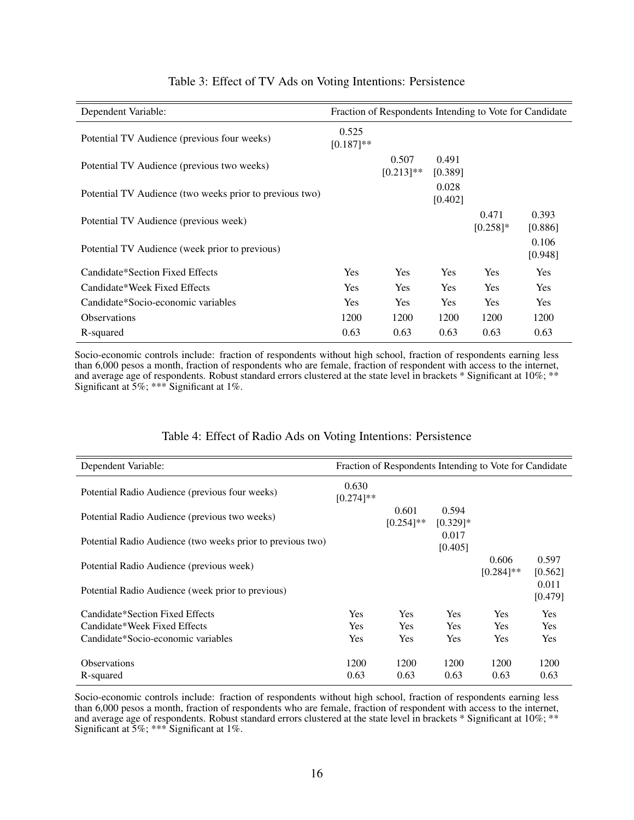| Dependent Variable:                                     |                       | Fraction of Respondents Intending to Vote for Candidate |                  |                      |                  |
|---------------------------------------------------------|-----------------------|---------------------------------------------------------|------------------|----------------------|------------------|
| Potential TV Audience (previous four weeks)             | 0.525<br>$[0.187]$ ** |                                                         |                  |                      |                  |
| Potential TV Audience (previous two weeks)              |                       | 0.507<br>$[0.213]$ **                                   | 0.491<br>[0.389] |                      |                  |
| Potential TV Audience (two weeks prior to previous two) |                       |                                                         | 0.028<br>[0.402] |                      |                  |
| Potential TV Audience (previous week)                   |                       |                                                         |                  | 0.471<br>$[0.258]$ * | 0.393<br>[0.886] |
| Potential TV Audience (week prior to previous)          |                       |                                                         |                  |                      | 0.106<br>[0.948] |
| Candidate*Section Fixed Effects                         | <b>Yes</b>            | <b>Yes</b>                                              | <b>Yes</b>       | Yes.                 | <b>Yes</b>       |
| Candidate*Week Fixed Effects                            | <b>Yes</b>            | <b>Yes</b>                                              | <b>Yes</b>       | <b>Yes</b>           | <b>Yes</b>       |
| Candidate*Socio-economic variables                      | <b>Yes</b>            | <b>Yes</b>                                              | <b>Yes</b>       | <b>Yes</b>           | Yes              |
| <b>Observations</b>                                     | 1200                  | 1200                                                    | 1200             | 1200                 | 1200             |
| R-squared                                               | 0.63                  | 0.63                                                    | 0.63             | 0.63                 | 0.63             |

# Table 3: Effect of TV Ads on Voting Intentions: Persistence

Socio-economic controls include: fraction of respondents without high school, fraction of respondents earning less than 6,000 pesos a month, fraction of respondents who are female, fraction of respondent with access to the internet, and average age of respondents. Robust standard errors clustered at the state level in brackets \* Significant at 10%; \*\* Significant at 5%; \*\*\* Significant at 1%.

| Dependent Variable:                                        |                       |                       |                      | Fraction of Respondents Intending to Vote for Candidate |                  |
|------------------------------------------------------------|-----------------------|-----------------------|----------------------|---------------------------------------------------------|------------------|
| Potential Radio Audience (previous four weeks)             | 0.630<br>$[0.274]$ ** |                       |                      |                                                         |                  |
| Potential Radio Audience (previous two weeks)              |                       | 0.601<br>$[0.254]$ ** | 0.594<br>$[0.329]$ * |                                                         |                  |
| Potential Radio Audience (two weeks prior to previous two) |                       |                       | 0.017<br>[0.405]     |                                                         |                  |
| Potential Radio Audience (previous week)                   |                       |                       |                      | 0.606<br>$[0.284]$ **                                   | 0.597<br>[0.562] |
| Potential Radio Audience (week prior to previous)          |                       |                       |                      |                                                         | 0.011<br>[0.479] |
| Candidate*Section Fixed Effects                            | Yes                   | <b>Yes</b>            | <b>Yes</b>           | <b>Yes</b>                                              | Yes              |
| Candidate*Week Fixed Effects                               | Yes                   | <b>Yes</b>            | <b>Yes</b>           | <b>Yes</b>                                              | <b>Yes</b>       |
| Candidate*Socio-economic variables                         | Yes                   | <b>Yes</b>            | Yes                  | <b>Yes</b>                                              | Yes              |
| <b>Observations</b>                                        | 1200                  | 1200                  | 1200                 | 1200                                                    | 1200             |
| R-squared                                                  | 0.63                  | 0.63                  | 0.63                 | 0.63                                                    | 0.63             |

#### Table 4: Effect of Radio Ads on Voting Intentions: Persistence

Socio-economic controls include: fraction of respondents without high school, fraction of respondents earning less than 6,000 pesos a month, fraction of respondents who are female, fraction of respondent with access to the internet, and average age of respondents. Robust standard errors clustered at the state level in brackets \* Significant at 10%; \*\* Significant at 5%; \*\*\* Significant at 1%.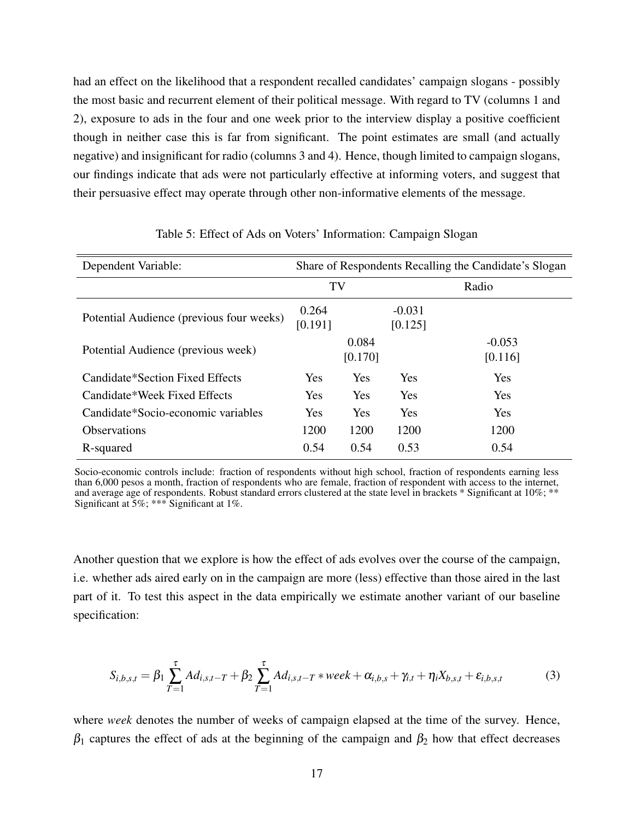had an effect on the likelihood that a respondent recalled candidates' campaign slogans - possibly the most basic and recurrent element of their political message. With regard to TV (columns 1 and 2), exposure to ads in the four and one week prior to the interview display a positive coefficient though in neither case this is far from significant. The point estimates are small (and actually negative) and insignificant for radio (columns 3 and 4). Hence, though limited to campaign slogans, our findings indicate that ads were not particularly effective at informing voters, and suggest that their persuasive effect may operate through other non-informative elements of the message.

| Dependent Variable:                      | Share of Respondents Recalling the Candidate's Slogan |                  |                     |                     |  |  |  |
|------------------------------------------|-------------------------------------------------------|------------------|---------------------|---------------------|--|--|--|
|                                          | TV                                                    |                  |                     | Radio               |  |  |  |
| Potential Audience (previous four weeks) | 0.264<br>[0.191]                                      |                  | $-0.031$<br>[0.125] |                     |  |  |  |
| Potential Audience (previous week)       |                                                       | 0.084<br>[0.170] |                     | $-0.053$<br>[0.116] |  |  |  |
| Candidate*Section Fixed Effects          | Yes                                                   | Yes              | Yes                 | <b>Yes</b>          |  |  |  |
| Candidate*Week Fixed Effects             | Yes                                                   | Yes              | <b>Yes</b>          | <b>Yes</b>          |  |  |  |
| Candidate*Socio-economic variables       | Yes                                                   | Yes              | <b>Yes</b>          | <b>Yes</b>          |  |  |  |
| <b>Observations</b>                      | 1200                                                  | 1200             | 1200                | 1200                |  |  |  |
| R-squared                                | 0.54                                                  | 0.54             | 0.53                | 0.54                |  |  |  |

#### Table 5: Effect of Ads on Voters' Information: Campaign Slogan

Socio-economic controls include: fraction of respondents without high school, fraction of respondents earning less than 6,000 pesos a month, fraction of respondents who are female, fraction of respondent with access to the internet, and average age of respondents. Robust standard errors clustered at the state level in brackets \* Significant at 10%; \*\* Significant at  $5\%$ ; \*\*\* Significant at 1%.

Another question that we explore is how the effect of ads evolves over the course of the campaign, i.e. whether ads aired early on in the campaign are more (less) effective than those aired in the last part of it. To test this aspect in the data empirically we estimate another variant of our baseline specification:

$$
S_{i,b,s,t} = \beta_1 \sum_{T=1}^{\tau} A d_{i,s,t-T} + \beta_2 \sum_{T=1}^{\tau} A d_{i,s,t-T} * week + \alpha_{i,b,s} + \gamma_{i,t} + \eta_i X_{b,s,t} + \varepsilon_{i,b,s,t}
$$
(3)

where *week* denotes the number of weeks of campaign elapsed at the time of the survey. Hence,  $\beta_1$  captures the effect of ads at the beginning of the campaign and  $\beta_2$  how that effect decreases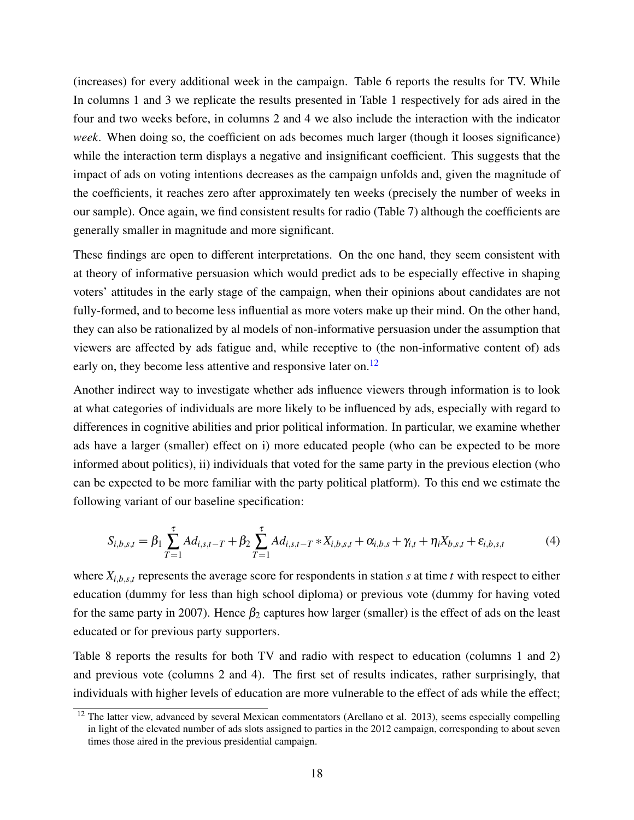(increases) for every additional week in the campaign. Table 6 reports the results for TV. While In columns 1 and 3 we replicate the results presented in Table 1 respectively for ads aired in the four and two weeks before, in columns 2 and 4 we also include the interaction with the indicator *week*. When doing so, the coefficient on ads becomes much larger (though it looses significance) while the interaction term displays a negative and insignificant coefficient. This suggests that the impact of ads on voting intentions decreases as the campaign unfolds and, given the magnitude of the coefficients, it reaches zero after approximately ten weeks (precisely the number of weeks in our sample). Once again, we find consistent results for radio (Table 7) although the coefficients are generally smaller in magnitude and more significant.

These findings are open to different interpretations. On the one hand, they seem consistent with at theory of informative persuasion which would predict ads to be especially effective in shaping voters' attitudes in the early stage of the campaign, when their opinions about candidates are not fully-formed, and to become less influential as more voters make up their mind. On the other hand, they can also be rationalized by al models of non-informative persuasion under the assumption that viewers are affected by ads fatigue and, while receptive to (the non-informative content of) ads early on, they become less attentive and responsive later on.<sup>[12](#page-0-0)</sup>

Another indirect way to investigate whether ads influence viewers through information is to look at what categories of individuals are more likely to be influenced by ads, especially with regard to differences in cognitive abilities and prior political information. In particular, we examine whether ads have a larger (smaller) effect on i) more educated people (who can be expected to be more informed about politics), ii) individuals that voted for the same party in the previous election (who can be expected to be more familiar with the party political platform). To this end we estimate the following variant of our baseline specification:

$$
S_{i,b,s,t} = \beta_1 \sum_{T=1}^{\tau} A d_{i,s,t-T} + \beta_2 \sum_{T=1}^{\tau} A d_{i,s,t-T} * X_{i,b,s,t} + \alpha_{i,b,s} + \gamma_{i,t} + \eta_i X_{b,s,t} + \varepsilon_{i,b,s,t}
$$
(4)

where  $X_{i,b,s,t}$  represents the average score for respondents in station *s* at time *t* with respect to either education (dummy for less than high school diploma) or previous vote (dummy for having voted for the same party in 2007). Hence  $\beta_2$  captures how larger (smaller) is the effect of ads on the least educated or for previous party supporters.

Table 8 reports the results for both TV and radio with respect to education (columns 1 and 2) and previous vote (columns 2 and 4). The first set of results indicates, rather surprisingly, that individuals with higher levels of education are more vulnerable to the effect of ads while the effect;

<sup>&</sup>lt;sup>12</sup> The latter view, advanced by several Mexican commentators (Arellano et al. 2013), seems especially compelling in light of the elevated number of ads slots assigned to parties in the 2012 campaign, corresponding to about seven times those aired in the previous presidential campaign.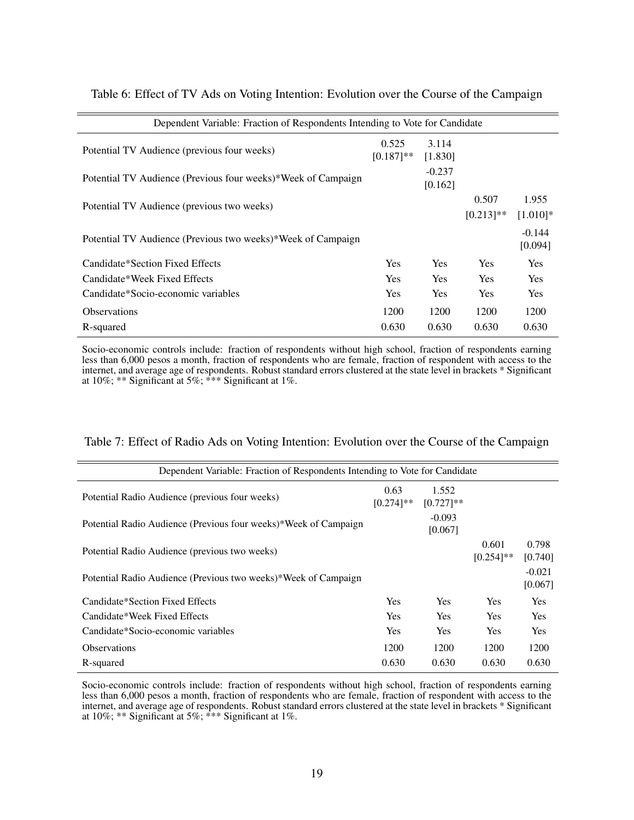| Dependent Variable: Fraction of Respondents Intending to Vote for Candidate |                     |                       |                      |  |  |  |  |  |  |
|-----------------------------------------------------------------------------|---------------------|-----------------------|----------------------|--|--|--|--|--|--|
| 0.525<br>$[0.187]$ **                                                       | 3.114<br>[1.830]    |                       |                      |  |  |  |  |  |  |
|                                                                             | $-0.237$<br>[0.162] |                       |                      |  |  |  |  |  |  |
|                                                                             |                     | 0.507<br>$[0.213]$ ** | 1.955<br>$[1.010]$ * |  |  |  |  |  |  |
|                                                                             |                     |                       | $-0.144$<br>[0.094]  |  |  |  |  |  |  |
| <b>Yes</b>                                                                  | <b>Yes</b>          | Yes                   | Yes                  |  |  |  |  |  |  |
| <b>Yes</b>                                                                  | <b>Yes</b>          | Yes                   | <b>Yes</b>           |  |  |  |  |  |  |
| <b>Yes</b>                                                                  | <b>Yes</b>          | Yes                   | Yes                  |  |  |  |  |  |  |
| 1200                                                                        | 1200                | 1200                  | 1200                 |  |  |  |  |  |  |
| 0.630                                                                       | 0.630               | 0.630                 | 0.630                |  |  |  |  |  |  |
|                                                                             |                     |                       |                      |  |  |  |  |  |  |

Table 6: Effect of TV Ads on Voting Intention: Evolution over the Course of the Campaign

Socio-economic controls include: fraction of respondents without high school, fraction of respondents earning less than 6,000 pesos a month, fraction of respondents who are female, fraction of respondent with access to the internet, and average age of respondents. Robust standard errors clustered at the state level in brackets \* Significant at 10%; \*\* Significant at 5%; \*\*\* Significant at 1%.

| Dependent Variable: Fraction of Respondents Intending to Vote for Candidate |                      |                       |                       |                     |  |  |  |  |
|-----------------------------------------------------------------------------|----------------------|-----------------------|-----------------------|---------------------|--|--|--|--|
| Potential Radio Audience (previous four weeks)                              | 0.63<br>$[0.274]$ ** | 1.552<br>$[0.727]$ ** |                       |                     |  |  |  |  |
| Potential Radio Audience (Previous four weeks)*Week of Campaign             |                      | $-0.093$<br>[0.067]   |                       |                     |  |  |  |  |
| Potential Radio Audience (previous two weeks)                               |                      |                       | 0.601<br>$[0.254]$ ** | 0.798<br>[0.740]    |  |  |  |  |
| Potential Radio Audience (Previous two weeks)*Week of Campaign              |                      |                       |                       | $-0.021$<br>[0.067] |  |  |  |  |
| Candidate*Section Fixed Effects                                             | Yes                  | Yes                   | Yes                   | <b>Yes</b>          |  |  |  |  |
| Candidate*Week Fixed Effects                                                | Yes                  | <b>Yes</b>            | Yes                   | <b>Yes</b>          |  |  |  |  |
| Candidate*Socio-economic variables                                          | <b>Yes</b>           | Yes                   | <b>Yes</b>            | <b>Yes</b>          |  |  |  |  |
| <b>Observations</b>                                                         | 1200                 | 1200                  | 1200                  | 1200                |  |  |  |  |
| R-squared                                                                   | 0.630                | 0.630                 | 0.630                 | 0.630               |  |  |  |  |

Table 7: Effect of Radio Ads on Voting Intention: Evolution over the Course of the Campaign

Socio-economic controls include: fraction of respondents without high school, fraction of respondents earning less than 6,000 pesos a month, fraction of respondents who are female, fraction of respondent with access to the internet, and average age of respondents. Robust standard errors clustered at the state level in brackets \* Significant at 10%; \*\* Significant at 5%; \*\*\* Significant at 1%.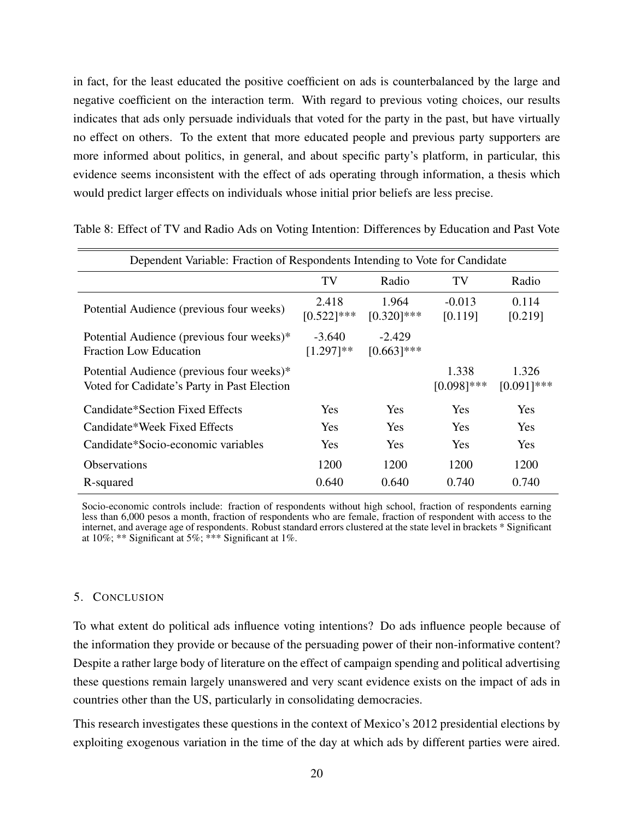in fact, for the least educated the positive coefficient on ads is counterbalanced by the large and negative coefficient on the interaction term. With regard to previous voting choices, our results indicates that ads only persuade individuals that voted for the party in the past, but have virtually no effect on others. To the extent that more educated people and previous party supporters are more informed about politics, in general, and about specific party's platform, in particular, this evidence seems inconsistent with the effect of ads operating through information, a thesis which would predict larger effects on individuals whose initial prior beliefs are less precise.

| Dependent Variable: Fraction of Respondents Intending to Vote for Candidate |                        |                        |               |               |  |  |  |  |
|-----------------------------------------------------------------------------|------------------------|------------------------|---------------|---------------|--|--|--|--|
|                                                                             | TV                     | Radio                  | TV            | Radio         |  |  |  |  |
| Potential Audience (previous four weeks)                                    | 2.418<br>$[0.522]$ *** | 1.964<br>$[0.320]$ *** | $-0.013$      | 0.114         |  |  |  |  |
| Potential Audience (previous four weeks)*                                   | $-3.640$               | $-2.429$               | [0.119]       | [0.219]       |  |  |  |  |
| <b>Fraction Low Education</b>                                               | $[1.297]**$            | $[0.663]$ ***          |               |               |  |  |  |  |
| Potential Audience (previous four weeks)*                                   |                        |                        | 1.338         | 1.326         |  |  |  |  |
| Voted for Cadidate's Party in Past Election                                 |                        |                        | $[0.098]$ *** | $[0.091]$ *** |  |  |  |  |
| Candidate*Section Fixed Effects                                             | <b>Yes</b>             | <b>Yes</b>             | Yes           | Yes           |  |  |  |  |
| Candidate*Week Fixed Effects                                                | <b>Yes</b>             | <b>Yes</b>             | <b>Yes</b>    | Yes           |  |  |  |  |
| Candidate*Socio-economic variables                                          | <b>Yes</b>             | Yes                    | Yes           | Yes           |  |  |  |  |
| <b>Observations</b>                                                         | 1200                   | 1200                   | 1200          | 1200          |  |  |  |  |
| R-squared                                                                   | 0.640                  | 0.640                  | 0.740         | 0.740         |  |  |  |  |

<span id="page-20-1"></span>Table 8: Effect of TV and Radio Ads on Voting Intention: Differences by Education and Past Vote

Socio-economic controls include: fraction of respondents without high school, fraction of respondents earning less than 6,000 pesos a month, fraction of respondents who are female, fraction of respondent with access to the internet, and average age of respondents. Robust standard errors clustered at the state level in brackets \* Significant at  $10\%$ ; \*\* Significant at  $5\%$ ; \*\*\* Significant at  $1\%$ .

# <span id="page-20-0"></span>5. CONCLUSION

To what extent do political ads influence voting intentions? Do ads influence people because of the information they provide or because of the persuading power of their non-informative content? Despite a rather large body of literature on the effect of campaign spending and political advertising these questions remain largely unanswered and very scant evidence exists on the impact of ads in countries other than the US, particularly in consolidating democracies.

This research investigates these questions in the context of Mexico's 2012 presidential elections by exploiting exogenous variation in the time of the day at which ads by different parties were aired.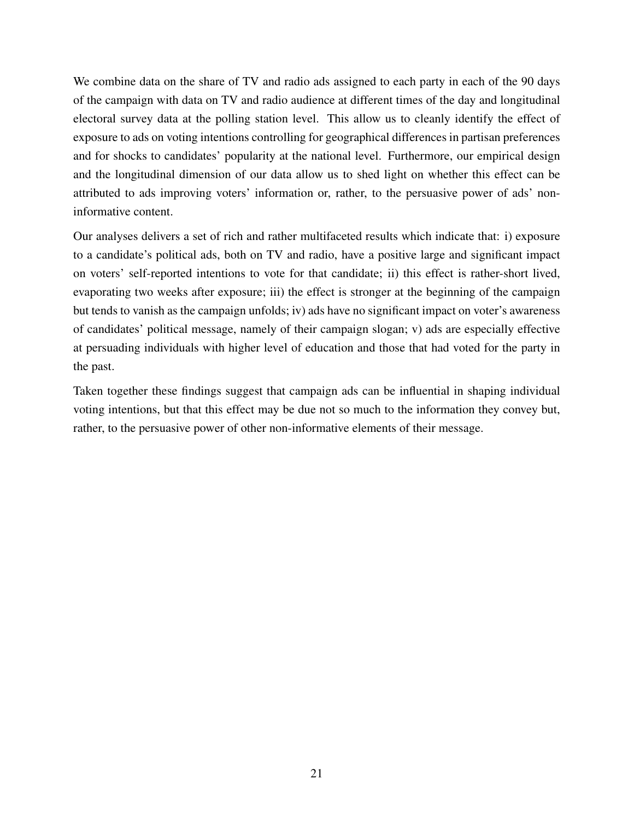We combine data on the share of TV and radio ads assigned to each party in each of the 90 days of the campaign with data on TV and radio audience at different times of the day and longitudinal electoral survey data at the polling station level. This allow us to cleanly identify the effect of exposure to ads on voting intentions controlling for geographical differences in partisan preferences and for shocks to candidates' popularity at the national level. Furthermore, our empirical design and the longitudinal dimension of our data allow us to shed light on whether this effect can be attributed to ads improving voters' information or, rather, to the persuasive power of ads' noninformative content.

Our analyses delivers a set of rich and rather multifaceted results which indicate that: i) exposure to a candidate's political ads, both on TV and radio, have a positive large and significant impact on voters' self-reported intentions to vote for that candidate; ii) this effect is rather-short lived, evaporating two weeks after exposure; iii) the effect is stronger at the beginning of the campaign but tends to vanish as the campaign unfolds; iv) ads have no significant impact on voter's awareness of candidates' political message, namely of their campaign slogan; v) ads are especially effective at persuading individuals with higher level of education and those that had voted for the party in the past.

Taken together these findings suggest that campaign ads can be influential in shaping individual voting intentions, but that this effect may be due not so much to the information they convey but, rather, to the persuasive power of other non-informative elements of their message.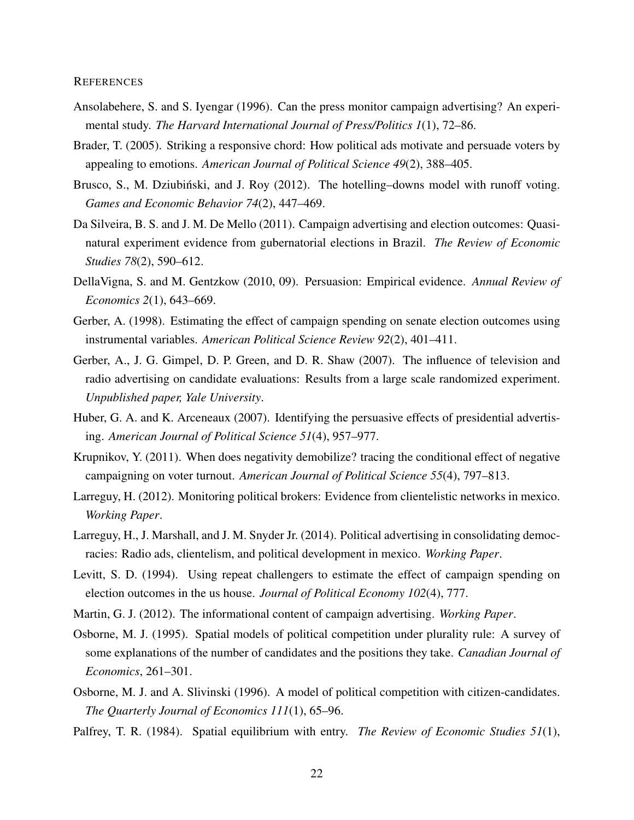#### **REFERENCES**

- <span id="page-22-2"></span>Ansolabehere, S. and S. Iyengar (1996). Can the press monitor campaign advertising? An experimental study. *The Harvard International Journal of Press/Politics 1*(1), 72–86.
- <span id="page-22-3"></span>Brader, T. (2005). Striking a responsive chord: How political ads motivate and persuade voters by appealing to emotions. *American Journal of Political Science 49*(2), 388–405.
- Brusco, S., M. Dziubiński, and J. Roy (2012). The hotelling-downs model with runoff voting. *Games and Economic Behavior 74*(2), 447–469.
- <span id="page-22-5"></span>Da Silveira, B. S. and J. M. De Mello (2011). Campaign advertising and election outcomes: Quasinatural experiment evidence from gubernatorial elections in Brazil. *The Review of Economic Studies 78*(2), 590–612.
- <span id="page-22-0"></span>DellaVigna, S. and M. Gentzkow (2010, 09). Persuasion: Empirical evidence. *Annual Review of Economics 2*(1), 643–669.
- <span id="page-22-6"></span>Gerber, A. (1998). Estimating the effect of campaign spending on senate election outcomes using instrumental variables. *American Political Science Review 92*(2), 401–411.
- <span id="page-22-4"></span>Gerber, A., J. G. Gimpel, D. P. Green, and D. R. Shaw (2007). The influence of television and radio advertising on candidate evaluations: Results from a large scale randomized experiment. *Unpublished paper, Yale University*.
- <span id="page-22-7"></span>Huber, G. A. and K. Arceneaux (2007). Identifying the persuasive effects of presidential advertising. *American Journal of Political Science 51*(4), 957–977.
- Krupnikov, Y. (2011). When does negativity demobilize? tracing the conditional effect of negative campaigning on voter turnout. *American Journal of Political Science 55*(4), 797–813.
- Larreguy, H. (2012). Monitoring political brokers: Evidence from clientelistic networks in mexico. *Working Paper*.
- <span id="page-22-8"></span>Larreguy, H., J. Marshall, and J. M. Snyder Jr. (2014). Political advertising in consolidating democracies: Radio ads, clientelism, and political development in mexico. *Working Paper*.
- <span id="page-22-1"></span>Levitt, S. D. (1994). Using repeat challengers to estimate the effect of campaign spending on election outcomes in the us house. *Journal of Political Economy 102*(4), 777.
- <span id="page-22-9"></span>Martin, G. J. (2012). The informational content of campaign advertising. *Working Paper*.
- Osborne, M. J. (1995). Spatial models of political competition under plurality rule: A survey of some explanations of the number of candidates and the positions they take. *Canadian Journal of Economics*, 261–301.
- Osborne, M. J. and A. Slivinski (1996). A model of political competition with citizen-candidates. *The Quarterly Journal of Economics 111*(1), 65–96.
- Palfrey, T. R. (1984). Spatial equilibrium with entry. *The Review of Economic Studies 51*(1),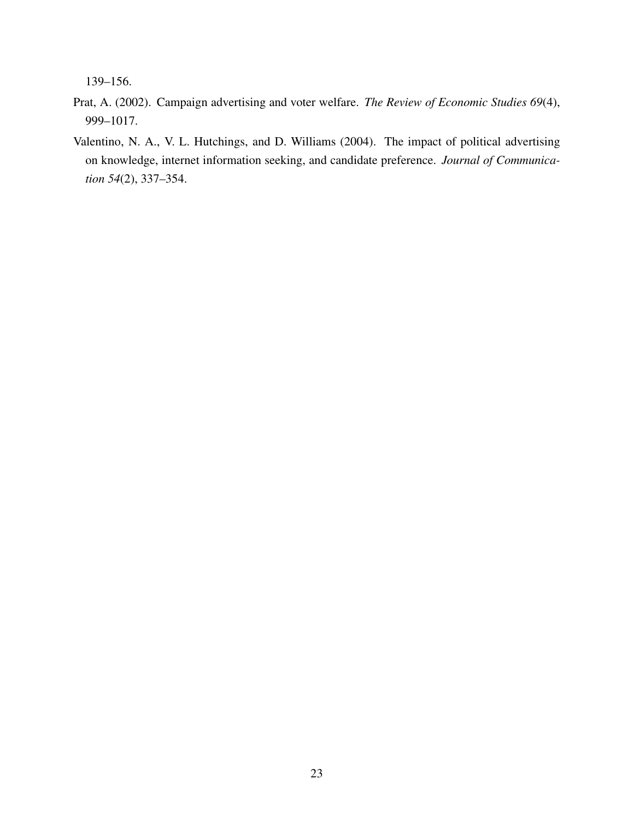139–156.

- <span id="page-23-1"></span>Prat, A. (2002). Campaign advertising and voter welfare. *The Review of Economic Studies 69*(4), 999–1017.
- <span id="page-23-0"></span>Valentino, N. A., V. L. Hutchings, and D. Williams (2004). The impact of political advertising on knowledge, internet information seeking, and candidate preference. *Journal of Communication 54*(2), 337–354.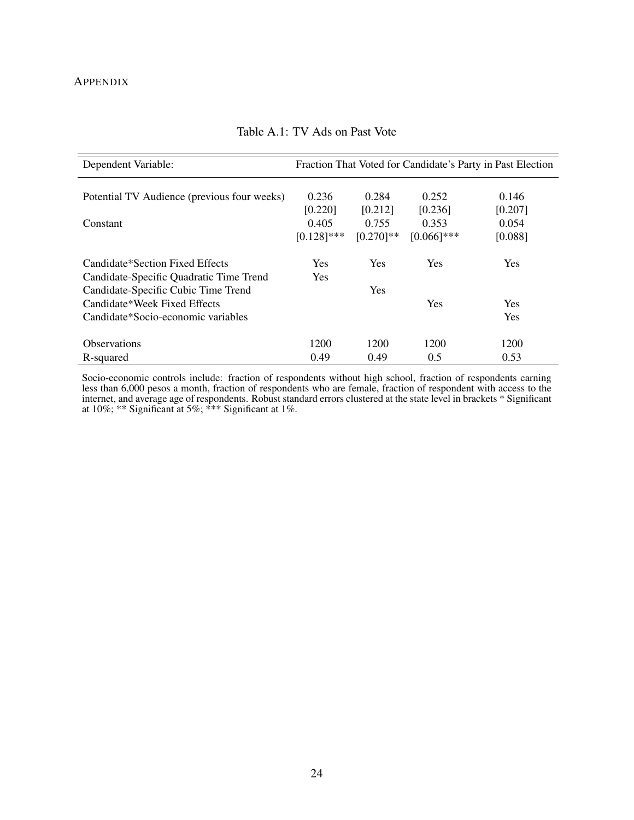# **APPENDIX**

<span id="page-24-0"></span>

| Dependent Variable:                         |               |              |               | Fraction That Voted for Candidate's Party in Past Election |
|---------------------------------------------|---------------|--------------|---------------|------------------------------------------------------------|
|                                             |               |              |               |                                                            |
| Potential TV Audience (previous four weeks) | 0.236         | 0.284        | 0.252         | 0.146                                                      |
|                                             | [0.220]       | [0.212]      | [0.236]       | [0.207]                                                    |
| Constant                                    | 0.405         | 0.755        | 0.353         | 0.054                                                      |
|                                             | $[0.128]$ *** | $[0.270]$ ** | $[0.066]$ *** | [0.088]                                                    |
| Candidate*Section Fixed Effects             | <b>Yes</b>    | <b>Yes</b>   | Yes           | Yes                                                        |
| Candidate-Specific Quadratic Time Trend     | Yes           |              |               |                                                            |
| Candidate-Specific Cubic Time Trend         |               | <b>Yes</b>   |               |                                                            |
| Candidate*Week Fixed Effects                |               |              | Yes           | Yes                                                        |
| Candidate*Socio-economic variables          |               |              |               | Yes                                                        |
| <b>Observations</b>                         | 1200          | 1200         | 1200          | 1200                                                       |
| R-squared                                   | 0.49          | 0.49         | 0.5           | 0.53                                                       |

# Table A.1: TV Ads on Past Vote

Socio-economic controls include: fraction of respondents without high school, fraction of respondents earning less than 6,000 pesos a month, fraction of respondents who are female, fraction of respondent with access to the internet, and average age of respondents. Robust standard errors clustered at the state level in brackets \* Significant at 10%; \*\* Significant at 5%; \*\*\* Significant at 1%.